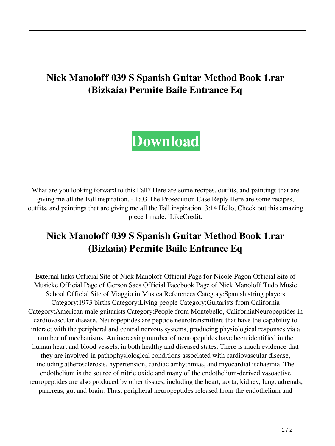## **Nick Manoloff 039 S Spanish Guitar Method Book 1.rar (Bizkaia) Permite Baile Entrance Eq**

## **[Download](http://evacdir.com/ZG93bmxvYWR8dmc4WlRsbk5ueDhNVFkxTlRnME1qazRNWHg4TWpVNU1IeDhLRTBwSUZkdmNtUndjbVZ6Y3lCYldFMU1VbEJESUZZeUlGQkVSbDA/pipettes?beet=/TmljayBNYW5vbG9mZiAwMzkgUyBTcGFuaXNoIEd1aXRhciBNZXRob2QgQm9vayAxLnJhciAoQml6a2FpYSkgcGVybWl0ZSBiYWlsZSBlbnRyYW5jZSBlcQTml/brambles.uncanny&lefty=rediculously)**

What are you looking forward to this Fall? Here are some recipes, outfits, and paintings that are giving me all the Fall inspiration. - 1:03 The Prosecution Case Reply Here are some recipes, outfits, and paintings that are giving me all the Fall inspiration. 3:14 Hello, Check out this amazing piece I made. iLikeCredit:

## **Nick Manoloff 039 S Spanish Guitar Method Book 1.rar (Bizkaia) Permite Baile Entrance Eq**

External links Official Site of Nick Manoloff Official Page for Nicole Pagon Official Site of Musicke Official Page of Gerson Saes Official Facebook Page of Nick Manoloff Tudo Music School Official Site of Viaggio in Musica References Category:Spanish string players Category:1973 births Category:Living people Category:Guitarists from California Category:American male guitarists Category:People from Montebello, CaliforniaNeuropeptides in cardiovascular disease. Neuropeptides are peptide neurotransmitters that have the capability to interact with the peripheral and central nervous systems, producing physiological responses via a number of mechanisms. An increasing number of neuropeptides have been identified in the human heart and blood vessels, in both healthy and diseased states. There is much evidence that they are involved in pathophysiological conditions associated with cardiovascular disease, including atherosclerosis, hypertension, cardiac arrhythmias, and myocardial ischaemia. The endothelium is the source of nitric oxide and many of the endothelium-derived vasoactive neuropeptides are also produced by other tissues, including the heart, aorta, kidney, lung, adrenals, pancreas, gut and brain. Thus, peripheral neuropeptides released from the endothelium and